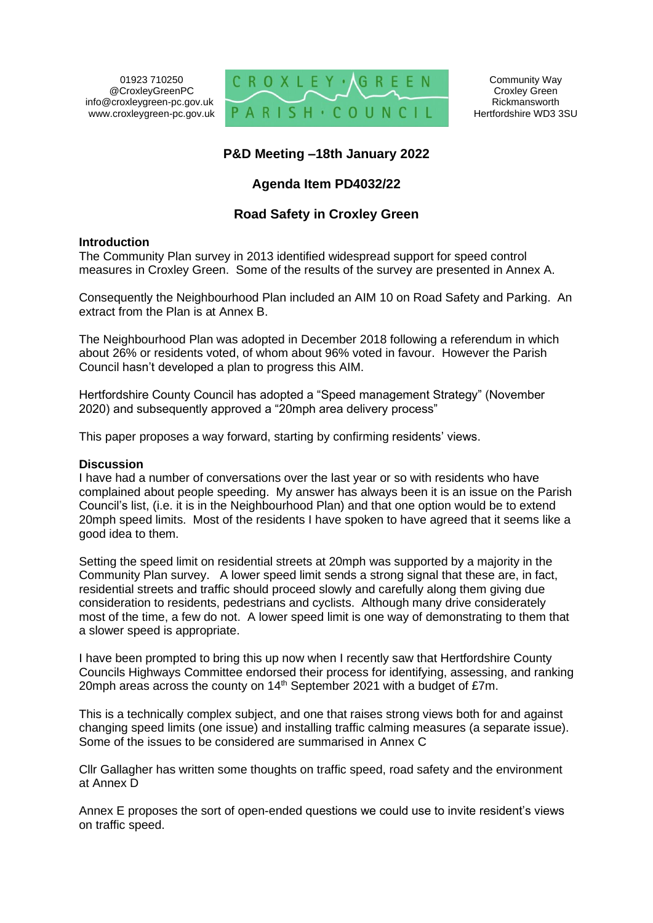01923 710250 @CroxleyGreenPC info@croxleygreen-pc.gov.uk www.croxleygreen-pc.gov.uk



## **P&D Meeting –18th January 2022**

#### **Agenda Item PD4032/22**

#### **Road Safety in Croxley Green**

#### **Introduction**

The Community Plan survey in 2013 identified widespread support for speed control measures in Croxley Green. Some of the results of the survey are presented in Annex A.

Consequently the Neighbourhood Plan included an AIM 10 on Road Safety and Parking. An extract from the Plan is at Annex B.

The Neighbourhood Plan was adopted in December 2018 following a referendum in which about 26% or residents voted, of whom about 96% voted in favour. However the Parish Council hasn't developed a plan to progress this AIM.

Hertfordshire County Council has adopted a "Speed management Strategy" (November 2020) and subsequently approved a "20mph area delivery process"

This paper proposes a way forward, starting by confirming residents' views.

#### **Discussion**

I have had a number of conversations over the last year or so with residents who have complained about people speeding. My answer has always been it is an issue on the Parish Council's list, (i.e. it is in the Neighbourhood Plan) and that one option would be to extend 20mph speed limits. Most of the residents I have spoken to have agreed that it seems like a good idea to them.

Setting the speed limit on residential streets at 20mph was supported by a majority in the Community Plan survey. A lower speed limit sends a strong signal that these are, in fact, residential streets and traffic should proceed slowly and carefully along them giving due consideration to residents, pedestrians and cyclists. Although many drive considerately most of the time, a few do not. A lower speed limit is one way of demonstrating to them that a slower speed is appropriate.

I have been prompted to bring this up now when I recently saw that Hertfordshire County Councils Highways Committee endorsed their process for identifying, assessing, and ranking 20mph areas across the county on  $14<sup>th</sup>$  September 2021 with a budget of £7m.

This is a technically complex subject, and one that raises strong views both for and against changing speed limits (one issue) and installing traffic calming measures (a separate issue). Some of the issues to be considered are summarised in Annex C

Cllr Gallagher has written some thoughts on traffic speed, road safety and the environment at Annex D

Annex E proposes the sort of open-ended questions we could use to invite resident's views on traffic speed.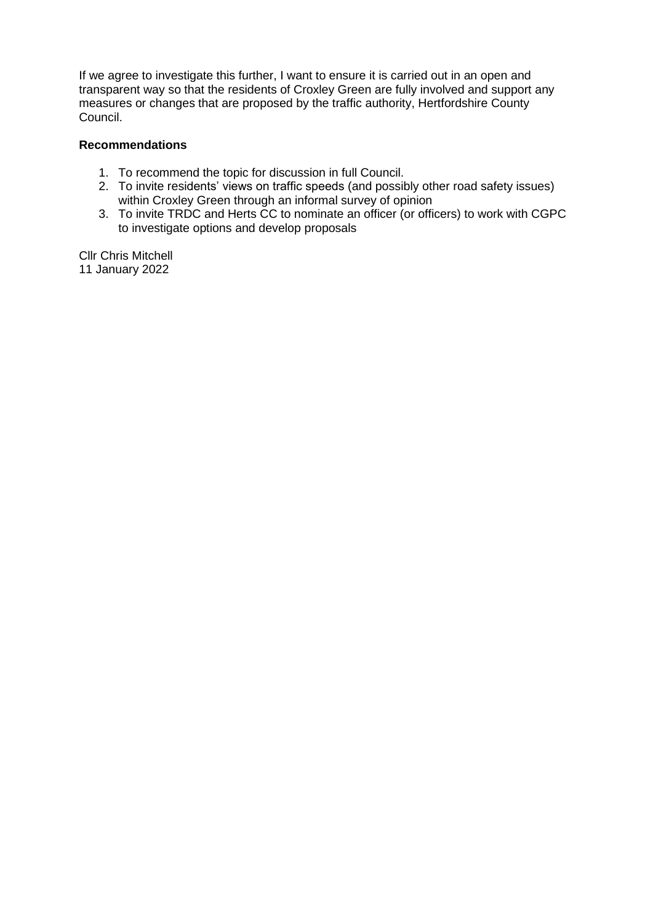If we agree to investigate this further, I want to ensure it is carried out in an open and transparent way so that the residents of Croxley Green are fully involved and support any measures or changes that are proposed by the traffic authority, Hertfordshire County Council.

#### **Recommendations**

- 1. To recommend the topic for discussion in full Council.
- 2. To invite residents' views on traffic speeds (and possibly other road safety issues) within Croxley Green through an informal survey of opinion
- 3. To invite TRDC and Herts CC to nominate an officer (or officers) to work with CGPC to investigate options and develop proposals

Cllr Chris Mitchell 11 January 2022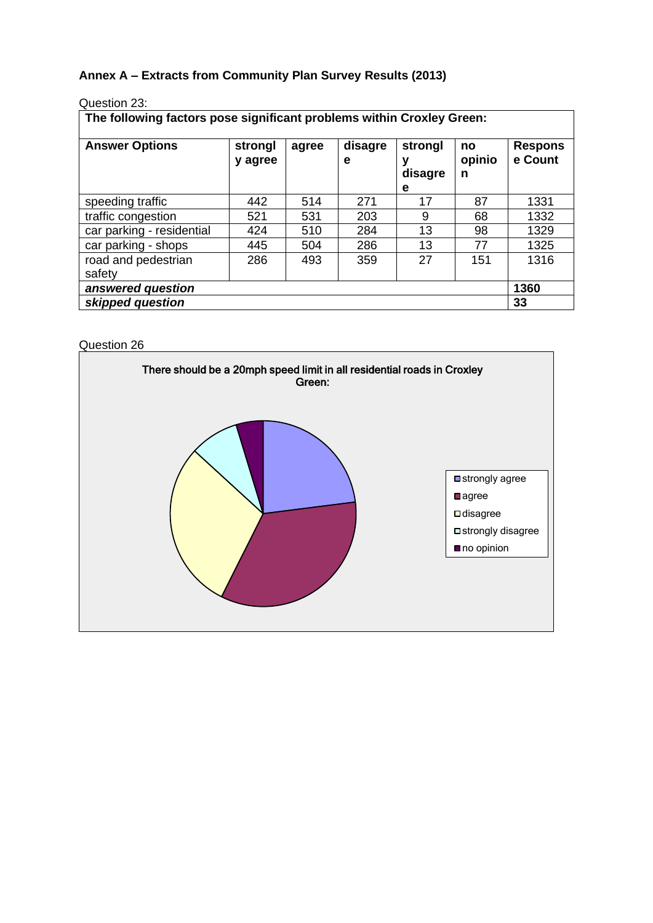## **Annex A – Extracts from Community Plan Survey Results (2013)**

| Question 23: |  |
|--------------|--|
|--------------|--|

| The following factors pose significant problems within Croxley Green: |                    |       |         |         |              |                           |  |  |
|-----------------------------------------------------------------------|--------------------|-------|---------|---------|--------------|---------------------------|--|--|
| <b>Answer Options</b>                                                 | strongl<br>y agree | agree | disagre | strongl | no<br>opinio | <b>Respons</b><br>e Count |  |  |

|                               | y agree |     | е   | ν<br>disagre<br>е | opinio<br>n | e Count |
|-------------------------------|---------|-----|-----|-------------------|-------------|---------|
| speeding traffic              | 442     | 514 | 271 | 17                | 87          | 1331    |
| traffic congestion            | 521     | 531 | 203 | 9                 | 68          | 1332    |
| car parking - residential     | 424     | 510 | 284 | 13                | 98          | 1329    |
| car parking - shops           | 445     | 504 | 286 | 13                | 77          | 1325    |
| road and pedestrian<br>safety | 286     | 493 | 359 | 27                | 151         | 1316    |
| answered question             |         |     |     |                   |             | 1360    |
| skipped question              |         |     |     |                   |             | 33      |

Question 26

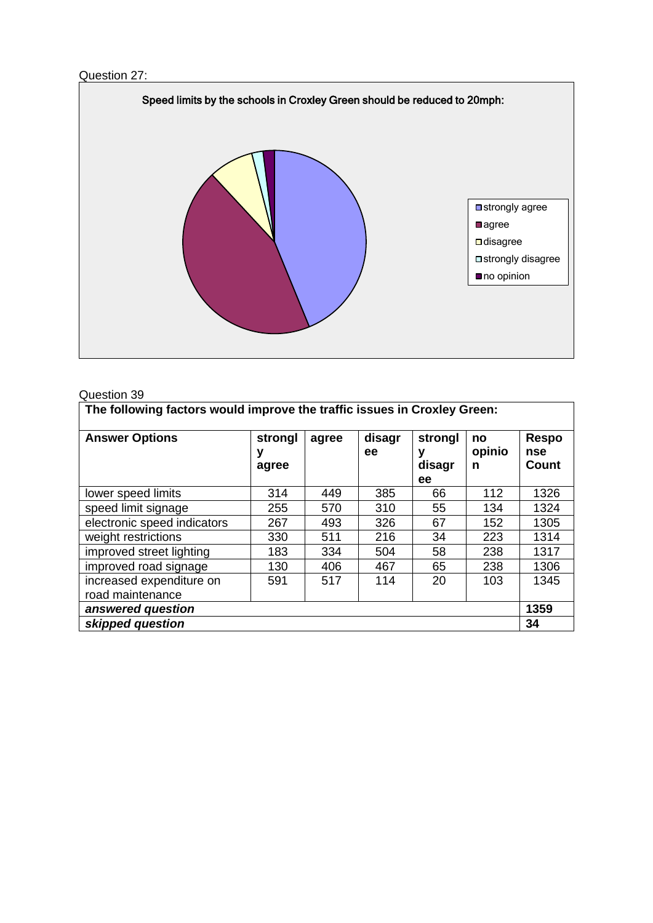



#### Question 39

| The following factors would improve the traffic issues in Croxley Green: |                       |       |              |                              |                   |                                     |
|--------------------------------------------------------------------------|-----------------------|-------|--------------|------------------------------|-------------------|-------------------------------------|
| <b>Answer Options</b>                                                    | strongl<br>у<br>agree | agree | disagr<br>ee | strongl<br>v<br>disagr<br>ee | no<br>opinio<br>n | <b>Respo</b><br>nse<br><b>Count</b> |
| lower speed limits                                                       | 314                   | 449   | 385          | 66                           | 112               | 1326                                |
| speed limit signage                                                      | 255                   | 570   | 310          | 55                           | 134               | 1324                                |
| electronic speed indicators                                              | 267                   | 493   | 326          | 67                           | 152               | 1305                                |
| weight restrictions                                                      | 330                   | 511   | 216          | 34                           | 223               | 1314                                |
| improved street lighting                                                 | 183                   | 334   | 504          | 58                           | 238               | 1317                                |
| improved road signage                                                    | 130                   | 406   | 467          | 65                           | 238               | 1306                                |
| increased expenditure on<br>road maintenance                             | 591                   | 517   | 114          | 20                           | 103               | 1345                                |
| answered question                                                        |                       |       |              |                              |                   | 1359                                |
| skipped question                                                         |                       |       |              |                              |                   | 34                                  |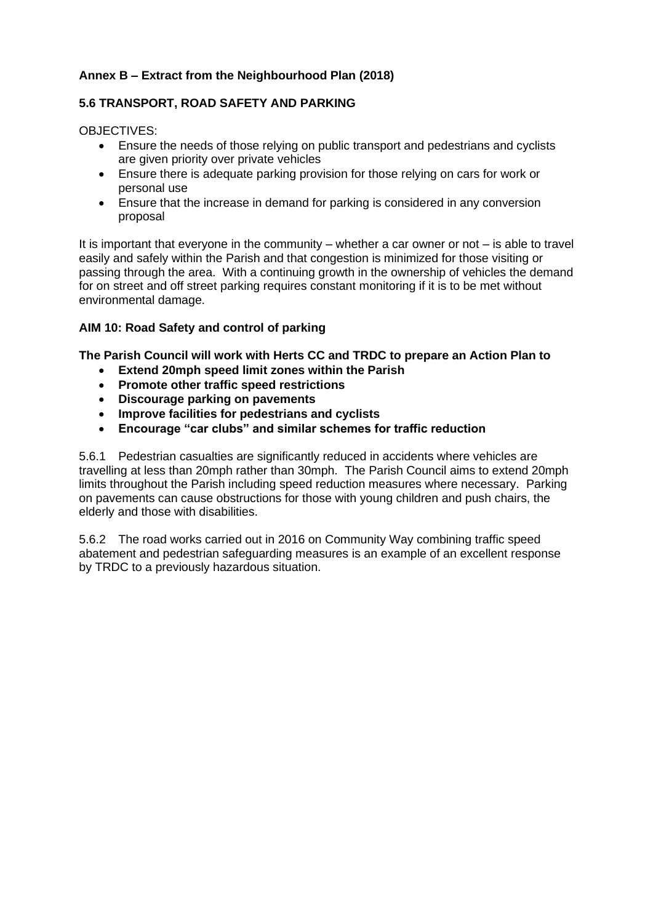#### **Annex B – Extract from the Neighbourhood Plan (2018)**

#### **5.6 TRANSPORT, ROAD SAFETY AND PARKING**

OBJECTIVES:

- Ensure the needs of those relying on public transport and pedestrians and cyclists are given priority over private vehicles
- Ensure there is adequate parking provision for those relying on cars for work or personal use
- Ensure that the increase in demand for parking is considered in any conversion proposal

It is important that everyone in the community – whether a car owner or not – is able to travel easily and safely within the Parish and that congestion is minimized for those visiting or passing through the area. With a continuing growth in the ownership of vehicles the demand for on street and off street parking requires constant monitoring if it is to be met without environmental damage.

#### **AIM 10: Road Safety and control of parking**

**The Parish Council will work with Herts CC and TRDC to prepare an Action Plan to** 

- **Extend 20mph speed limit zones within the Parish**
- **Promote other traffic speed restrictions**
- **Discourage parking on pavements**
- **Improve facilities for pedestrians and cyclists**
- **Encourage "car clubs" and similar schemes for traffic reduction**

5.6.1 Pedestrian casualties are significantly reduced in accidents where vehicles are travelling at less than 20mph rather than 30mph. The Parish Council aims to extend 20mph limits throughout the Parish including speed reduction measures where necessary. Parking on pavements can cause obstructions for those with young children and push chairs, the elderly and those with disabilities.

5.6.2 The road works carried out in 2016 on Community Way combining traffic speed abatement and pedestrian safeguarding measures is an example of an excellent response by TRDC to a previously hazardous situation.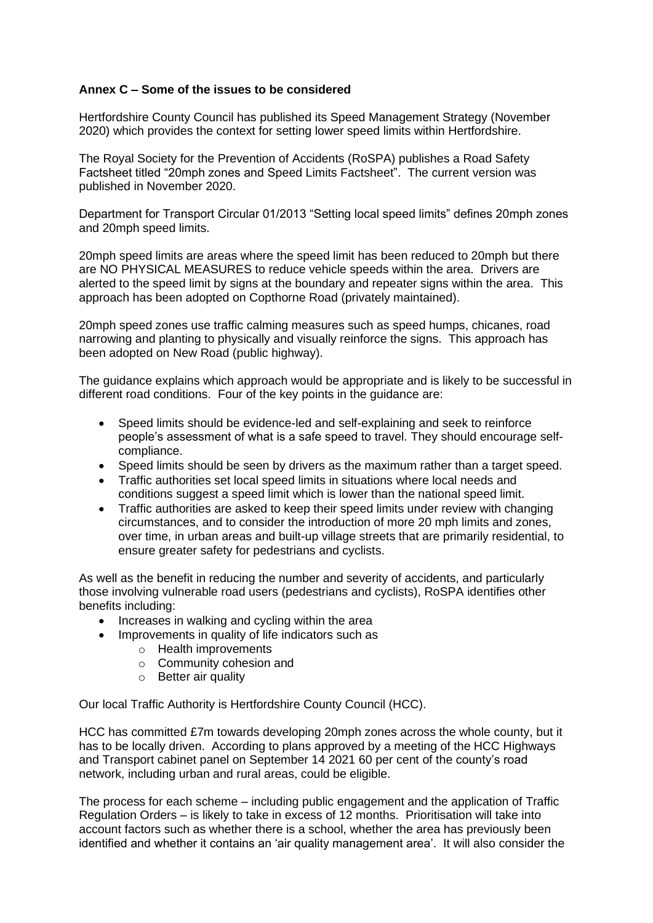#### **Annex C – Some of the issues to be considered**

Hertfordshire County Council has published its Speed Management Strategy (November 2020) which provides the context for setting lower speed limits within Hertfordshire.

The Royal Society for the Prevention of Accidents (RoSPA) publishes a Road Safety Factsheet titled "20mph zones and Speed Limits Factsheet". The current version was published in November 2020.

Department for Transport Circular 01/2013 "Setting local speed limits" defines 20mph zones and 20mph speed limits.

20mph speed limits are areas where the speed limit has been reduced to 20mph but there are NO PHYSICAL MEASURES to reduce vehicle speeds within the area. Drivers are alerted to the speed limit by signs at the boundary and repeater signs within the area. This approach has been adopted on Copthorne Road (privately maintained).

20mph speed zones use traffic calming measures such as speed humps, chicanes, road narrowing and planting to physically and visually reinforce the signs. This approach has been adopted on New Road (public highway).

The guidance explains which approach would be appropriate and is likely to be successful in different road conditions. Four of the key points in the guidance are:

- Speed limits should be evidence-led and self-explaining and seek to reinforce people's assessment of what is a safe speed to travel. They should encourage selfcompliance.
- Speed limits should be seen by drivers as the maximum rather than a target speed.
- Traffic authorities set local speed limits in situations where local needs and conditions suggest a speed limit which is lower than the national speed limit.
- Traffic authorities are asked to keep their speed limits under review with changing circumstances, and to consider the introduction of more 20 mph limits and zones, over time, in urban areas and built-up village streets that are primarily residential, to ensure greater safety for pedestrians and cyclists.

As well as the benefit in reducing the number and severity of accidents, and particularly those involving vulnerable road users (pedestrians and cyclists), RoSPA identifies other benefits including:

- Increases in walking and cycling within the area
- Improvements in quality of life indicators such as
	- o Health improvements
	- o Community cohesion and
	- o Better air quality

Our local Traffic Authority is Hertfordshire County Council (HCC).

HCC has committed £7m towards developing 20mph zones across the whole county, but it has to be locally driven. According to plans approved by a meeting of the HCC Highways and Transport cabinet panel on September 14 2021 60 per cent of the county's road network, including urban and rural areas, could be eligible.

The process for each scheme – including public engagement and the application of Traffic Regulation Orders – is likely to take in excess of 12 months. Prioritisation will take into account factors such as whether there is a school, whether the area has previously been identified and whether it contains an 'air quality management area'. It will also consider the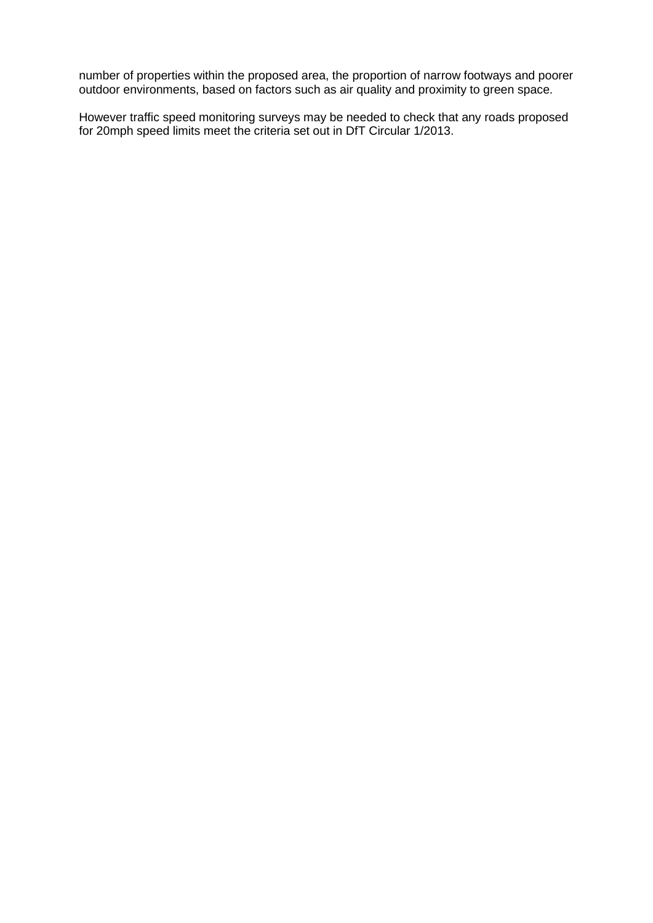number of properties within the proposed area, the proportion of narrow footways and poorer outdoor environments, based on factors such as air quality and proximity to green space.

However traffic speed monitoring surveys may be needed to check that any roads proposed for 20mph speed limits meet the criteria set out in DfT Circular 1/2013.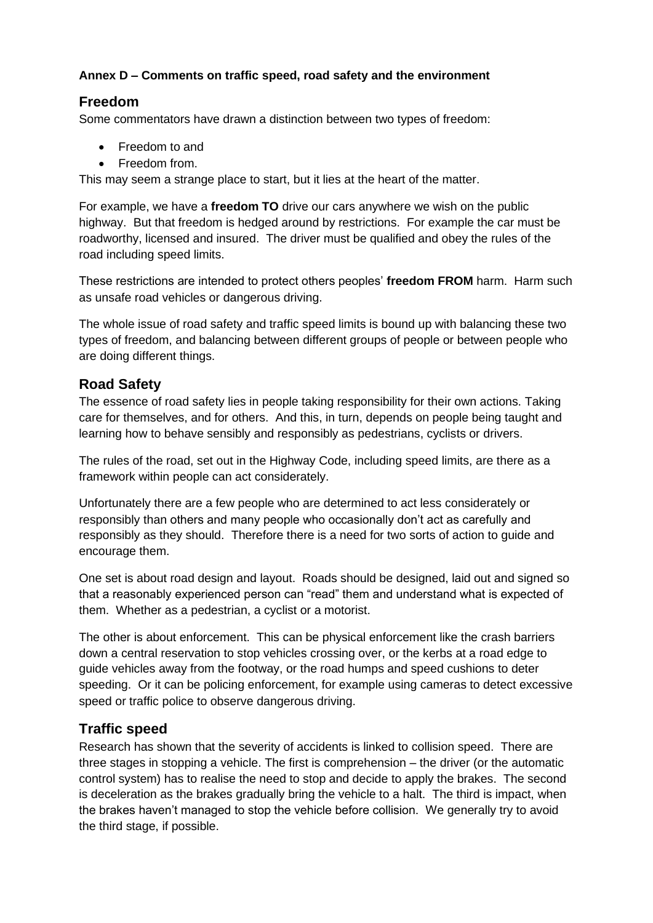## **Annex D – Comments on traffic speed, road safety and the environment**

## **Freedom**

Some commentators have drawn a distinction between two types of freedom:

- Freedom to and
- Freedom from.

This may seem a strange place to start, but it lies at the heart of the matter.

For example, we have a **freedom TO** drive our cars anywhere we wish on the public highway. But that freedom is hedged around by restrictions. For example the car must be roadworthy, licensed and insured. The driver must be qualified and obey the rules of the road including speed limits.

These restrictions are intended to protect others peoples' **freedom FROM** harm. Harm such as unsafe road vehicles or dangerous driving.

The whole issue of road safety and traffic speed limits is bound up with balancing these two types of freedom, and balancing between different groups of people or between people who are doing different things.

#### **Road Safety**

The essence of road safety lies in people taking responsibility for their own actions. Taking care for themselves, and for others. And this, in turn, depends on people being taught and learning how to behave sensibly and responsibly as pedestrians, cyclists or drivers.

The rules of the road, set out in the Highway Code, including speed limits, are there as a framework within people can act considerately.

Unfortunately there are a few people who are determined to act less considerately or responsibly than others and many people who occasionally don't act as carefully and responsibly as they should. Therefore there is a need for two sorts of action to guide and encourage them.

One set is about road design and layout. Roads should be designed, laid out and signed so that a reasonably experienced person can "read" them and understand what is expected of them. Whether as a pedestrian, a cyclist or a motorist.

The other is about enforcement. This can be physical enforcement like the crash barriers down a central reservation to stop vehicles crossing over, or the kerbs at a road edge to guide vehicles away from the footway, or the road humps and speed cushions to deter speeding. Or it can be policing enforcement, for example using cameras to detect excessive speed or traffic police to observe dangerous driving.

## **Traffic speed**

Research has shown that the severity of accidents is linked to collision speed. There are three stages in stopping a vehicle. The first is comprehension – the driver (or the automatic control system) has to realise the need to stop and decide to apply the brakes. The second is deceleration as the brakes gradually bring the vehicle to a halt. The third is impact, when the brakes haven't managed to stop the vehicle before collision. We generally try to avoid the third stage, if possible.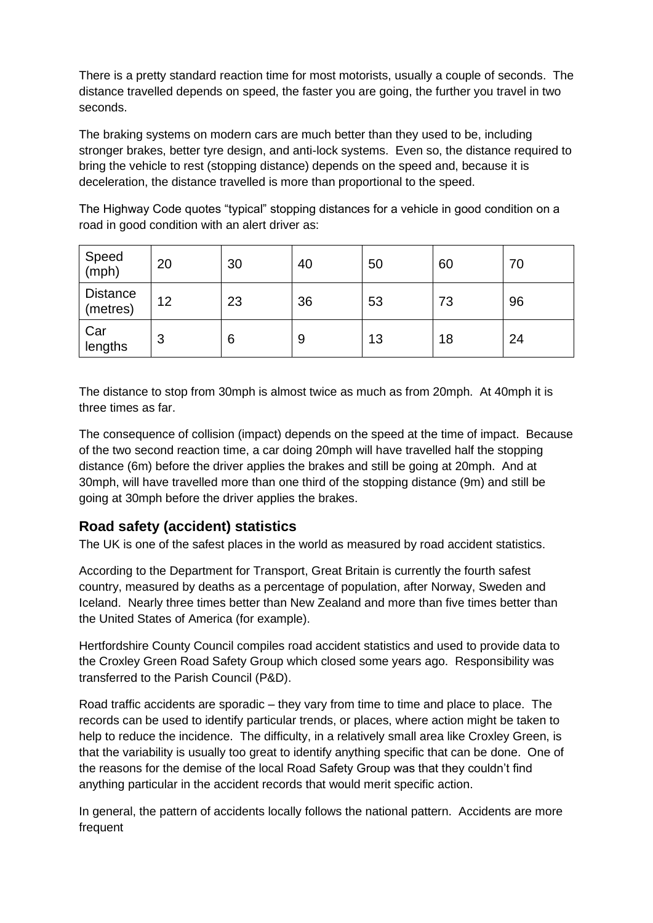There is a pretty standard reaction time for most motorists, usually a couple of seconds. The distance travelled depends on speed, the faster you are going, the further you travel in two seconds.

The braking systems on modern cars are much better than they used to be, including stronger brakes, better tyre design, and anti-lock systems. Even so, the distance required to bring the vehicle to rest (stopping distance) depends on the speed and, because it is deceleration, the distance travelled is more than proportional to the speed.

The Highway Code quotes "typical" stopping distances for a vehicle in good condition on a road in good condition with an alert driver as:

| Speed<br>(mph)              | 20 | 30 | 40 | 50 | 60 | 70 |
|-----------------------------|----|----|----|----|----|----|
| <b>Distance</b><br>(metres) | 12 | 23 | 36 | 53 | 73 | 96 |
| Car<br>lengths              | 3  | 6  | 9  | 13 | 18 | 24 |

The distance to stop from 30mph is almost twice as much as from 20mph. At 40mph it is three times as far.

The consequence of collision (impact) depends on the speed at the time of impact. Because of the two second reaction time, a car doing 20mph will have travelled half the stopping distance (6m) before the driver applies the brakes and still be going at 20mph. And at 30mph, will have travelled more than one third of the stopping distance (9m) and still be going at 30mph before the driver applies the brakes.

# **Road safety (accident) statistics**

The UK is one of the safest places in the world as measured by road accident statistics.

According to the Department for Transport, Great Britain is currently the fourth safest country, measured by deaths as a percentage of population, after Norway, Sweden and Iceland. Nearly three times better than New Zealand and more than five times better than the United States of America (for example).

Hertfordshire County Council compiles road accident statistics and used to provide data to the Croxley Green Road Safety Group which closed some years ago. Responsibility was transferred to the Parish Council (P&D).

Road traffic accidents are sporadic – they vary from time to time and place to place. The records can be used to identify particular trends, or places, where action might be taken to help to reduce the incidence. The difficulty, in a relatively small area like Croxley Green, is that the variability is usually too great to identify anything specific that can be done. One of the reasons for the demise of the local Road Safety Group was that they couldn't find anything particular in the accident records that would merit specific action.

In general, the pattern of accidents locally follows the national pattern. Accidents are more frequent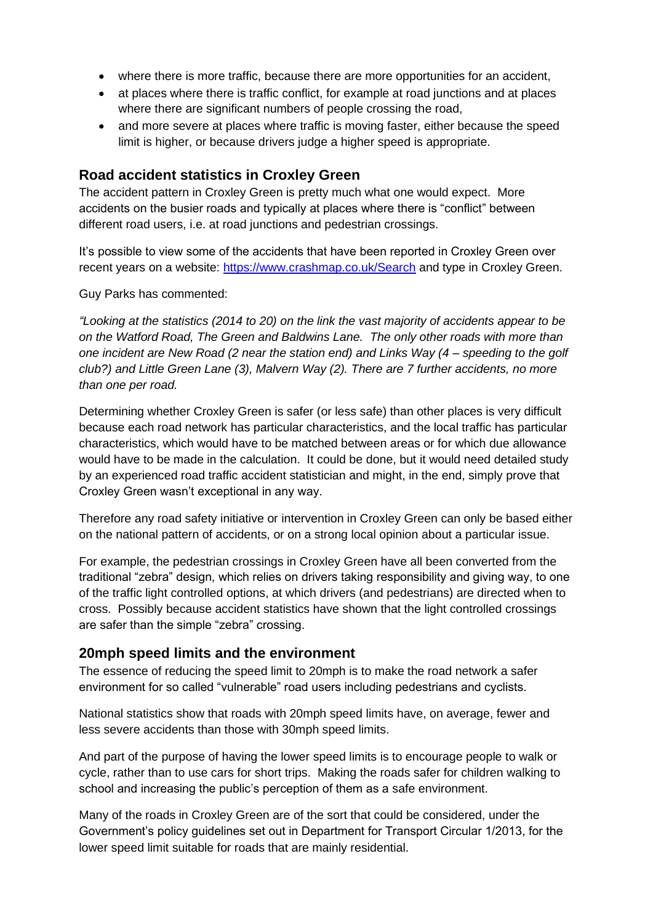- where there is more traffic, because there are more opportunities for an accident,
- at places where there is traffic conflict, for example at road junctions and at places where there are significant numbers of people crossing the road,
- and more severe at places where traffic is moving faster, either because the speed limit is higher, or because drivers judge a higher speed is appropriate.

## **Road accident statistics in Croxley Green**

The accident pattern in Croxley Green is pretty much what one would expect. More accidents on the busier roads and typically at places where there is "conflict" between different road users, i.e. at road junctions and pedestrian crossings.

It's possible to view some of the accidents that have been reported in Croxley Green over recent years on a website:<https://www.crashmap.co.uk/Search> and type in Croxley Green.

Guy Parks has commented:

*"Looking at the statistics (2014 to 20) on the link the vast majority of accidents appear to be on the Watford Road, The Green and Baldwins Lane. The only other roads with more than one incident are New Road (2 near the station end) and Links Way (4 – speeding to the golf club?) and Little Green Lane (3), Malvern Way (2). There are 7 further accidents, no more than one per road.* 

Determining whether Croxley Green is safer (or less safe) than other places is very difficult because each road network has particular characteristics, and the local traffic has particular characteristics, which would have to be matched between areas or for which due allowance would have to be made in the calculation. It could be done, but it would need detailed study by an experienced road traffic accident statistician and might, in the end, simply prove that Croxley Green wasn't exceptional in any way.

Therefore any road safety initiative or intervention in Croxley Green can only be based either on the national pattern of accidents, or on a strong local opinion about a particular issue.

For example, the pedestrian crossings in Croxley Green have all been converted from the traditional "zebra" design, which relies on drivers taking responsibility and giving way, to one of the traffic light controlled options, at which drivers (and pedestrians) are directed when to cross. Possibly because accident statistics have shown that the light controlled crossings are safer than the simple "zebra" crossing.

## **20mph speed limits and the environment**

The essence of reducing the speed limit to 20mph is to make the road network a safer environment for so called "vulnerable" road users including pedestrians and cyclists.

National statistics show that roads with 20mph speed limits have, on average, fewer and less severe accidents than those with 30mph speed limits.

And part of the purpose of having the lower speed limits is to encourage people to walk or cycle, rather than to use cars for short trips. Making the roads safer for children walking to school and increasing the public's perception of them as a safe environment.

Many of the roads in Croxley Green are of the sort that could be considered, under the Government's policy guidelines set out in Department for Transport Circular 1/2013, for the lower speed limit suitable for roads that are mainly residential.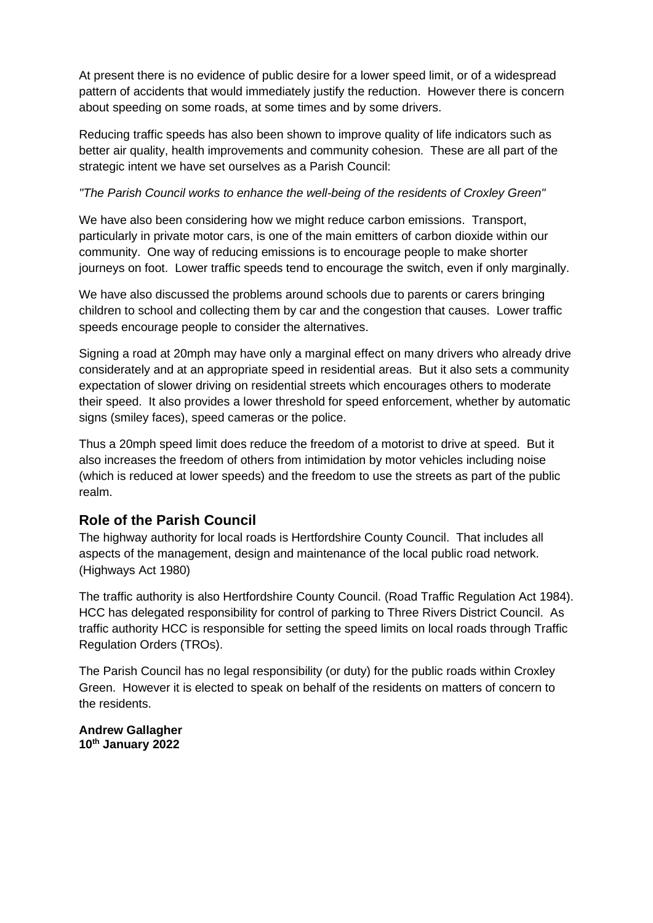At present there is no evidence of public desire for a lower speed limit, or of a widespread pattern of accidents that would immediately justify the reduction. However there is concern about speeding on some roads, at some times and by some drivers.

Reducing traffic speeds has also been shown to improve quality of life indicators such as better air quality, health improvements and community cohesion. These are all part of the strategic intent we have set ourselves as a Parish Council:

#### *"The Parish Council works to enhance the well-being of the residents of Croxley Green"*

We have also been considering how we might reduce carbon emissions. Transport, particularly in private motor cars, is one of the main emitters of carbon dioxide within our community. One way of reducing emissions is to encourage people to make shorter journeys on foot. Lower traffic speeds tend to encourage the switch, even if only marginally.

We have also discussed the problems around schools due to parents or carers bringing children to school and collecting them by car and the congestion that causes. Lower traffic speeds encourage people to consider the alternatives.

Signing a road at 20mph may have only a marginal effect on many drivers who already drive considerately and at an appropriate speed in residential areas. But it also sets a community expectation of slower driving on residential streets which encourages others to moderate their speed. It also provides a lower threshold for speed enforcement, whether by automatic signs (smiley faces), speed cameras or the police.

Thus a 20mph speed limit does reduce the freedom of a motorist to drive at speed. But it also increases the freedom of others from intimidation by motor vehicles including noise (which is reduced at lower speeds) and the freedom to use the streets as part of the public realm.

## **Role of the Parish Council**

The highway authority for local roads is Hertfordshire County Council. That includes all aspects of the management, design and maintenance of the local public road network. (Highways Act 1980)

The traffic authority is also Hertfordshire County Council. (Road Traffic Regulation Act 1984). HCC has delegated responsibility for control of parking to Three Rivers District Council. As traffic authority HCC is responsible for setting the speed limits on local roads through Traffic Regulation Orders (TROs).

The Parish Council has no legal responsibility (or duty) for the public roads within Croxley Green. However it is elected to speak on behalf of the residents on matters of concern to the residents.

**Andrew Gallagher 10th January 2022**